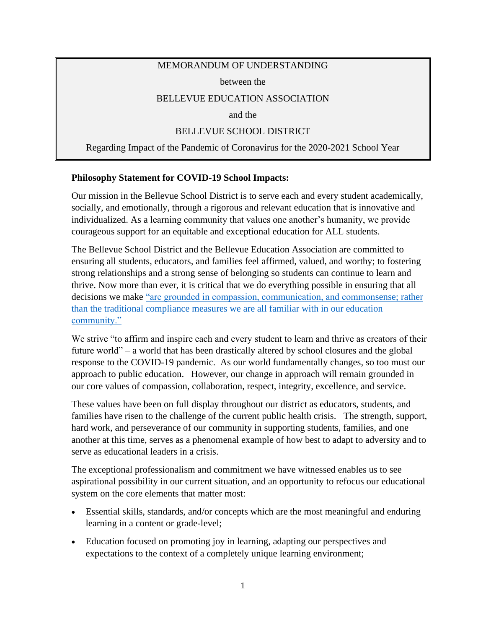### MEMORANDUM OF UNDERSTANDING

between the

## BELLEVUE EDUCATION ASSOCIATION

and the

## BELLEVUE SCHOOL DISTRICT

Regarding Impact of the Pandemic of Coronavirus for the 2020-2021 School Year

### **Philosophy Statement for COVID-19 School Impacts:**

Our mission in the Bellevue School District is to serve each and every student academically, socially, and emotionally, through a rigorous and relevant education that is innovative and individualized. As a learning community that values one another's humanity, we provide courageous support for an equitable and exceptional education for ALL students.

The Bellevue School District and the Bellevue Education Association are committed to ensuring all students, educators, and families feel affirmed, valued, and worthy; to fostering strong relationships and a strong sense of belonging so students can continue to learn and thrive. Now more than ever, it is critical that we do everything possible in ensuring that all decisions we make ["are grounded in compassion, communication, and commonsense; rather](https://www.k12.wa.us/sites/default/files/public/bulletinsmemos/bulletins2020/4_Guidance%20for%20Long-term%20School%20Closures%20as%20of%20March%2023.pdf)  [than the traditional compliance measures we are all familiar with in our education](https://www.k12.wa.us/sites/default/files/public/bulletinsmemos/bulletins2020/4_Guidance%20for%20Long-term%20School%20Closures%20as%20of%20March%2023.pdf)  [community."](https://www.k12.wa.us/sites/default/files/public/bulletinsmemos/bulletins2020/4_Guidance%20for%20Long-term%20School%20Closures%20as%20of%20March%2023.pdf)

We strive "to affirm and inspire each and every student to learn and thrive as creators of their future world" – a world that has been drastically altered by school closures and the global response to the COVID-19 pandemic. As our world fundamentally changes, so too must our approach to public education. However, our change in approach will remain grounded in our core values of compassion, collaboration, respect, integrity, excellence, and service.

These values have been on full display throughout our district as educators, students, and families have risen to the challenge of the current public health crisis. The strength, support, hard work, and perseverance of our community in supporting students, families, and one another at this time, serves as a phenomenal example of how best to adapt to adversity and to serve as educational leaders in a crisis.

The exceptional professionalism and commitment we have witnessed enables us to see aspirational possibility in our current situation, and an opportunity to refocus our educational system on the core elements that matter most:

- Essential skills, standards, and/or concepts which are the most meaningful and enduring learning in a content or grade-level;
- Education focused on promoting joy in learning, adapting our perspectives and expectations to the context of a completely unique learning environment;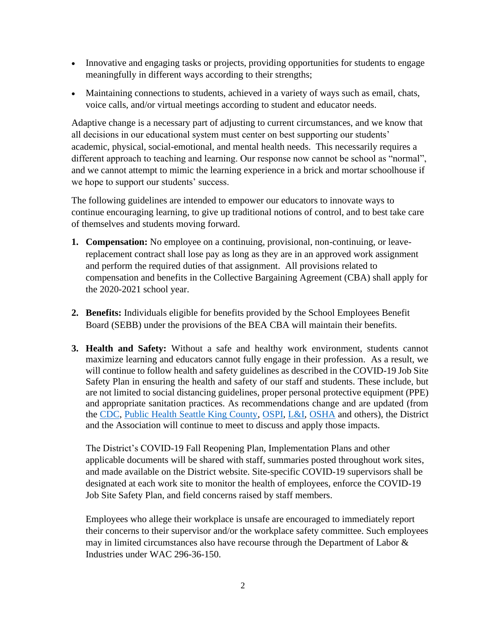- Innovative and engaging tasks or projects, providing opportunities for students to engage meaningfully in different ways according to their strengths;
- Maintaining connections to students, achieved in a variety of ways such as email, chats, voice calls, and/or virtual meetings according to student and educator needs.

Adaptive change is a necessary part of adjusting to current circumstances, and we know that all decisions in our educational system must center on best supporting our students' academic, physical, social-emotional, and mental health needs. This necessarily requires a different approach to teaching and learning. Our response now cannot be school as "normal", and we cannot attempt to mimic the learning experience in a brick and mortar schoolhouse if we hope to support our students' success.

The following guidelines are intended to empower our educators to innovate ways to continue encouraging learning, to give up traditional notions of control, and to best take care of themselves and students moving forward.

- **1. Compensation:** No employee on a continuing, provisional, non-continuing, or leavereplacement contract shall lose pay as long as they are in an approved work assignment and perform the required duties of that assignment. All provisions related to compensation and benefits in the Collective Bargaining Agreement (CBA) shall apply for the 2020-2021 school year.
- **2. Benefits:** Individuals eligible for benefits provided by the School Employees Benefit Board (SEBB) under the provisions of the BEA CBA will maintain their benefits.
- **3. Health and Safety:** Without a safe and healthy work environment, students cannot maximize learning and educators cannot fully engage in their profession. As a result, we will continue to follow health and safety guidelines as described in the COVID-19 Job Site Safety Plan in ensuring the health and safety of our staff and students. These include, but are not limited to social distancing guidelines, proper personal protective equipment (PPE) and appropriate sanitation practices. As recommendations change and are updated (from the [CDC,](https://www.cdc.gov/coronavirus/2019-ncov/index.html) [Public Health Seattle King County,](https://www.kingcounty.gov/depts/health/covid-19.aspx) [OSPI,](https://www.k12.wa.us/about-ospi/press-releases/novel-coronavirus-covid-19-guidance-resources) [L&I,](https://www.lni.wa.gov/agency/outreach/novel-coronavirus-outbreak-covid-19-resources) [OSHA](https://www.osha.gov/SLTC/covid-19/) and others), the District and the Association will continue to meet to discuss and apply those impacts.

The District's COVID-19 Fall Reopening Plan, Implementation Plans and other applicable documents will be shared with staff, summaries posted throughout work sites, and made available on the District website. Site-specific COVID-19 supervisors shall be designated at each work site to monitor the health of employees, enforce the COVID-19 Job Site Safety Plan, and field concerns raised by staff members.

Employees who allege their workplace is unsafe are encouraged to immediately report their concerns to their supervisor and/or the workplace safety committee. Such employees may in limited circumstances also have recourse through the Department of Labor  $\&$ Industries under WAC 296-36-150.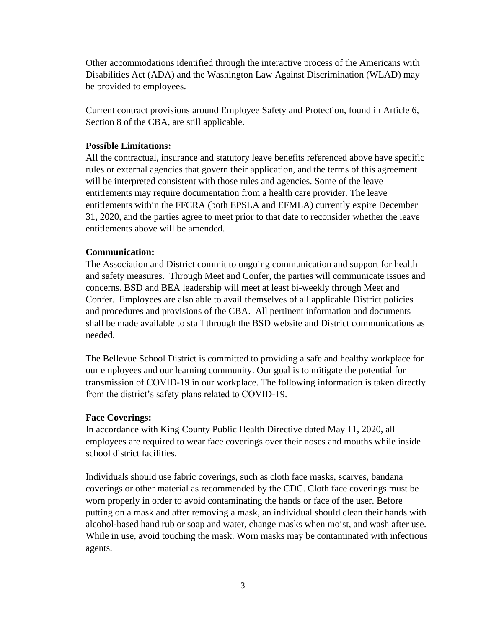Other accommodations identified through the interactive process of the Americans with Disabilities Act (ADA) and the Washington Law Against Discrimination (WLAD) may be provided to employees.

Current contract provisions around Employee Safety and Protection, found in Article 6, Section 8 of the CBA, are still applicable.

## **Possible Limitations:**

All the contractual, insurance and statutory leave benefits referenced above have specific rules or external agencies that govern their application, and the terms of this agreement will be interpreted consistent with those rules and agencies. Some of the leave entitlements may require documentation from a health care provider. The leave entitlements within the FFCRA (both EPSLA and EFMLA) currently expire December 31, 2020, and the parties agree to meet prior to that date to reconsider whether the leave entitlements above will be amended.

## **Communication:**

The Association and District commit to ongoing communication and support for health and safety measures. Through Meet and Confer, the parties will communicate issues and concerns. BSD and BEA leadership will meet at least bi-weekly through Meet and Confer. Employees are also able to avail themselves of all applicable District policies and procedures and provisions of the CBA. All pertinent information and documents shall be made available to staff through the BSD website and District communications as needed.

The Bellevue School District is committed to providing a safe and healthy workplace for our employees and our learning community. Our goal is to mitigate the potential for transmission of COVID-19 in our workplace. The following information is taken directly from the district's safety plans related to COVID-19.

## **Face Coverings:**

In accordance with King County Public Health Directive dated May 11, 2020, all employees are required to wear face coverings over their noses and mouths while inside school district facilities.

Individuals should use fabric coverings, such as cloth face masks, scarves, bandana coverings or other material as recommended by the CDC. Cloth face coverings must be worn properly in order to avoid contaminating the hands or face of the user. Before putting on a mask and after removing a mask, an individual should clean their hands with alcohol-based hand rub or soap and water, change masks when moist, and wash after use. While in use, avoid touching the mask. Worn masks may be contaminated with infectious agents.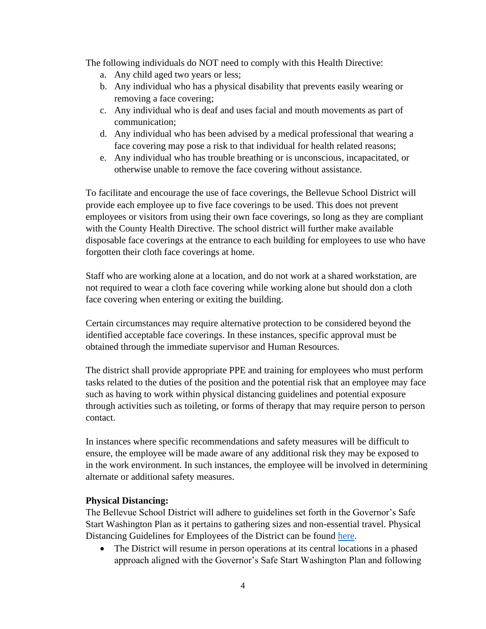The following individuals do NOT need to comply with this Health Directive:

- a. Any child aged two years or less;
- b. Any individual who has a physical disability that prevents easily wearing or removing a face covering;
- c. Any individual who is deaf and uses facial and mouth movements as part of communication;
- d. Any individual who has been advised by a medical professional that wearing a face covering may pose a risk to that individual for health related reasons;
- e. Any individual who has trouble breathing or is unconscious, incapacitated, or otherwise unable to remove the face covering without assistance.

To facilitate and encourage the use of face coverings, the Bellevue School District will provide each employee up to five face coverings to be used. This does not prevent employees or visitors from using their own face coverings, so long as they are compliant with the County Health Directive. The school district will further make available disposable face coverings at the entrance to each building for employees to use who have forgotten their cloth face coverings at home.

Staff who are working alone at a location, and do not work at a shared workstation, are not required to wear a cloth face covering while working alone but should don a cloth face covering when entering or exiting the building.

Certain circumstances may require alternative protection to be considered beyond the identified acceptable face coverings. In these instances, specific approval must be obtained through the immediate supervisor and Human Resources.

The district shall provide appropriate PPE and training for employees who must perform tasks related to the duties of the position and the potential risk that an employee may face such as having to work within physical distancing guidelines and potential exposure through activities such as toileting, or forms of therapy that may require person to person contact.

In instances where specific recommendations and safety measures will be difficult to ensure, the employee will be made aware of any additional risk they may be exposed to in the work environment. In such instances, the employee will be involved in determining alternate or additional safety measures.

### **Physical Distancing:**

The Bellevue School District will adhere to guidelines set forth in the Governor's Safe Start Washington Plan as it pertains to gathering sizes and non-essential travel. Physical Distancing Guidelines for Employees of the District can be found [here.](https://bsd405.org/departments/hr/covid-19-staff-resources/bsd-social-distancing-guidelines/)

• The District will resume in person operations at its central locations in a phased approach aligned with the Governor's Safe Start Washington Plan and following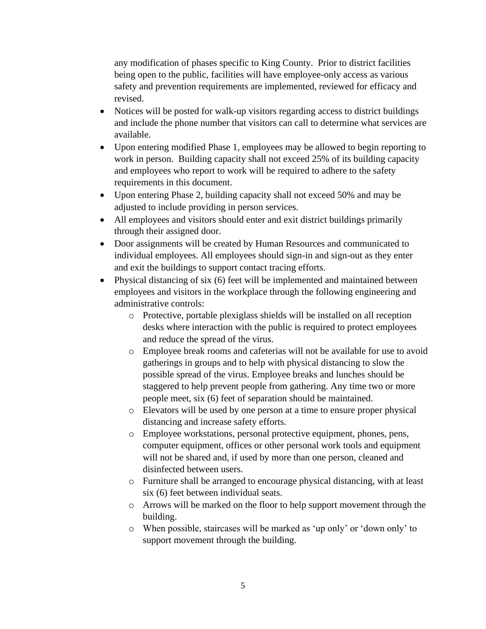any modification of phases specific to King County. Prior to district facilities being open to the public, facilities will have employee-only access as various safety and prevention requirements are implemented, reviewed for efficacy and revised.

- Notices will be posted for walk-up visitors regarding access to district buildings and include the phone number that visitors can call to determine what services are available.
- Upon entering modified Phase 1, employees may be allowed to begin reporting to work in person. Building capacity shall not exceed 25% of its building capacity and employees who report to work will be required to adhere to the safety requirements in this document.
- Upon entering Phase 2, building capacity shall not exceed 50% and may be adjusted to include providing in person services.
- All employees and visitors should enter and exit district buildings primarily through their assigned door.
- Door assignments will be created by Human Resources and communicated to individual employees. All employees should sign-in and sign-out as they enter and exit the buildings to support contact tracing efforts.
- Physical distancing of six (6) feet will be implemented and maintained between employees and visitors in the workplace through the following engineering and administrative controls:
	- o Protective, portable plexiglass shields will be installed on all reception desks where interaction with the public is required to protect employees and reduce the spread of the virus.
	- o Employee break rooms and cafeterias will not be available for use to avoid gatherings in groups and to help with physical distancing to slow the possible spread of the virus. Employee breaks and lunches should be staggered to help prevent people from gathering. Any time two or more people meet, six (6) feet of separation should be maintained.
	- o Elevators will be used by one person at a time to ensure proper physical distancing and increase safety efforts.
	- o Employee workstations, personal protective equipment, phones, pens, computer equipment, offices or other personal work tools and equipment will not be shared and, if used by more than one person, cleaned and disinfected between users.
	- o Furniture shall be arranged to encourage physical distancing, with at least six (6) feet between individual seats.
	- o Arrows will be marked on the floor to help support movement through the building.
	- o When possible, staircases will be marked as 'up only' or 'down only' to support movement through the building.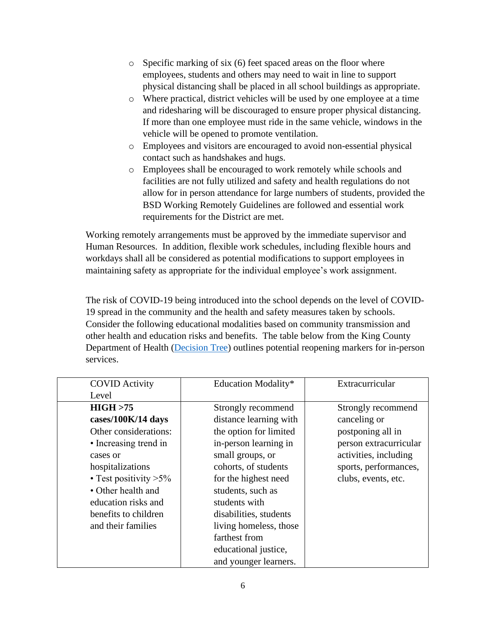- o Specific marking of six (6) feet spaced areas on the floor where employees, students and others may need to wait in line to support physical distancing shall be placed in all school buildings as appropriate.
- o Where practical, district vehicles will be used by one employee at a time and ridesharing will be discouraged to ensure proper physical distancing. If more than one employee must ride in the same vehicle, windows in the vehicle will be opened to promote ventilation.
- o Employees and visitors are encouraged to avoid non-essential physical contact such as handshakes and hugs.
- o Employees shall be encouraged to work remotely while schools and facilities are not fully utilized and safety and health regulations do not allow for in person attendance for large numbers of students, provided the BSD Working Remotely Guidelines are followed and essential work requirements for the District are met.

Working remotely arrangements must be approved by the immediate supervisor and Human Resources. In addition, flexible work schedules, including flexible hours and workdays shall all be considered as potential modifications to support employees in maintaining safety as appropriate for the individual employee's work assignment.

The risk of COVID-19 being introduced into the school depends on the level of COVID-19 spread in the community and the health and safety measures taken by schools. Consider the following educational modalities based on community transmission and other health and education risks and benefits. The table below from the King County Department of Health [\(Decision Tree\)](https://www.doh.wa.gov/Portals/1/Documents/1600/coronavirus/DecisionTree-K12schools.pdf) outlines potential reopening markers for in-person services.

| <b>COVID Activity</b>    | Education Modality*    | Extracurricular        |
|--------------------------|------------------------|------------------------|
| Level                    |                        |                        |
| HIGH > 75                | Strongly recommend     | Strongly recommend     |
| cases/100K/14 days       | distance learning with | canceling or           |
| Other considerations:    | the option for limited | postponing all in      |
| • Increasing trend in    | in-person learning in  | person extracurricular |
| cases or                 | small groups, or       | activities, including  |
| hospitalizations         | cohorts, of students   | sports, performances,  |
| • Test positivity $>5\%$ | for the highest need   | clubs, events, etc.    |
| • Other health and       | students, such as      |                        |
| education risks and      | students with          |                        |
| benefits to children     | disabilities, students |                        |
| and their families       | living homeless, those |                        |
|                          | farthest from          |                        |
|                          | educational justice,   |                        |
|                          | and younger learners.  |                        |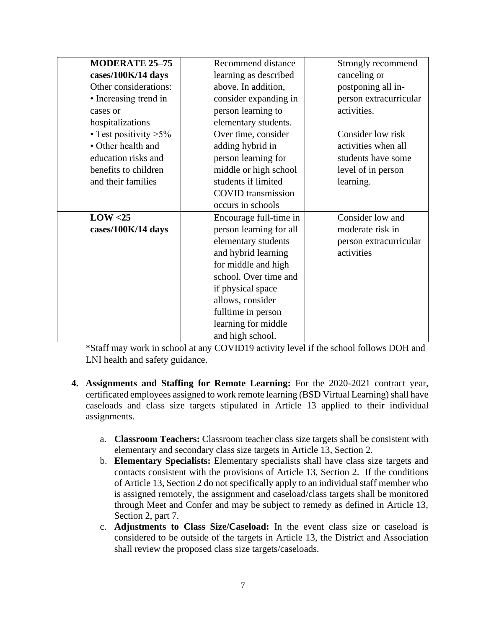| <b>MODERATE 25-75</b>    | Recommend distance        | Strongly recommend     |
|--------------------------|---------------------------|------------------------|
| cases/100K/14 days       | learning as described     | canceling or           |
| Other considerations:    | above. In addition,       | postponing all in-     |
| • Increasing trend in    | consider expanding in     | person extracurricular |
| cases or                 | person learning to        | activities.            |
| hospitalizations         | elementary students.      |                        |
| • Test positivity $>5\%$ | Over time, consider       | Consider low risk      |
| • Other health and       | adding hybrid in          | activities when all    |
| education risks and      | person learning for       | students have some     |
| benefits to children     | middle or high school     | level of in person     |
| and their families       | students if limited       | learning.              |
|                          | <b>COVID</b> transmission |                        |
|                          | occurs in schools         |                        |
| LOW < 25                 | Encourage full-time in    | Consider low and       |
| cases/100K/14 days       | person learning for all   | moderate risk in       |
|                          | elementary students       | person extracurricular |
|                          | and hybrid learning       | activities             |
|                          | for middle and high       |                        |
|                          | school. Over time and     |                        |
|                          | if physical space         |                        |
|                          | allows, consider          |                        |
|                          | fulltime in person        |                        |
|                          | learning for middle       |                        |
|                          | and high school.          |                        |

\*Staff may work in school at any COVID19 activity level if the school follows DOH and LNI health and safety guidance.

- **4. Assignments and Staffing for Remote Learning:** For the 2020-2021 contract year, certificated employees assigned to work remote learning (BSD Virtual Learning) shall have caseloads and class size targets stipulated in Article 13 applied to their individual assignments.
	- a. **Classroom Teachers:** Classroom teacher class size targets shall be consistent with elementary and secondary class size targets in Article 13, Section 2.
	- b. **Elementary Specialists:** Elementary specialists shall have class size targets and contacts consistent with the provisions of Article 13, Section 2. If the conditions of Article 13, Section 2 do not specifically apply to an individual staff member who is assigned remotely, the assignment and caseload/class targets shall be monitored through Meet and Confer and may be subject to remedy as defined in Article 13, Section 2, part 7.
	- c. **Adjustments to Class Size/Caseload:** In the event class size or caseload is considered to be outside of the targets in Article 13, the District and Association shall review the proposed class size targets/caseloads.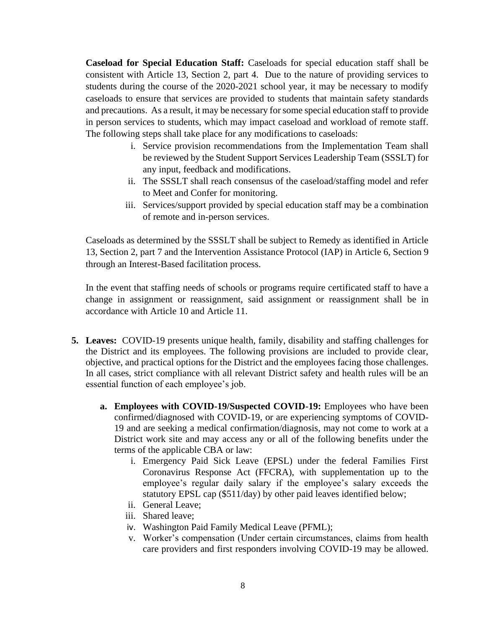**Caseload for Special Education Staff:** Caseloads for special education staff shall be consistent with Article 13, Section 2, part 4. Due to the nature of providing services to students during the course of the 2020-2021 school year, it may be necessary to modify caseloads to ensure that services are provided to students that maintain safety standards and precautions. As a result, it may be necessary for some special education staff to provide in person services to students, which may impact caseload and workload of remote staff. The following steps shall take place for any modifications to caseloads:

- i. Service provision recommendations from the Implementation Team shall be reviewed by the Student Support Services Leadership Team (SSSLT) for any input, feedback and modifications.
- ii. The SSSLT shall reach consensus of the caseload/staffing model and refer to Meet and Confer for monitoring.
- iii. Services/support provided by special education staff may be a combination of remote and in-person services.

Caseloads as determined by the SSSLT shall be subject to Remedy as identified in Article 13, Section 2, part 7 and the Intervention Assistance Protocol (IAP) in Article 6, Section 9 through an Interest-Based facilitation process.

In the event that staffing needs of schools or programs require certificated staff to have a change in assignment or reassignment, said assignment or reassignment shall be in accordance with Article 10 and Article 11.

- **5. Leaves:** COVID-19 presents unique health, family, disability and staffing challenges for the District and its employees. The following provisions are included to provide clear, objective, and practical options for the District and the employees facing those challenges. In all cases, strict compliance with all relevant District safety and health rules will be an essential function of each employee's job.
	- **a. Employees with COVID-19/Suspected COVID-19:** Employees who have been confirmed/diagnosed with COVID-19, or are experiencing symptoms of COVID-19 and are seeking a medical confirmation/diagnosis, may not come to work at a District work site and may access any or all of the following benefits under the terms of the applicable CBA or law:
		- i. Emergency Paid Sick Leave (EPSL) under the federal Families First Coronavirus Response Act (FFCRA), with supplementation up to the employee's regular daily salary if the employee's salary exceeds the statutory EPSL cap (\$511/day) by other paid leaves identified below;
		- ii. General Leave;
		- iii. Shared leave;
		- iv. Washington Paid Family Medical Leave (PFML);
		- v. Worker's compensation (Under certain circumstances, claims from health care providers and first responders involving COVID-19 may be allowed.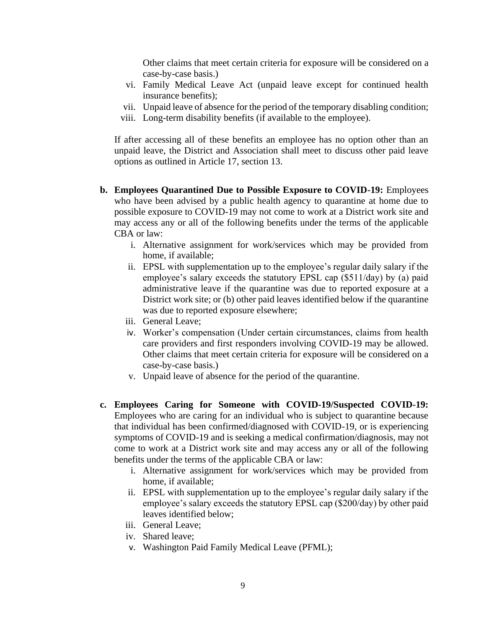Other claims that meet certain criteria for exposure will be considered on a case-by-case basis.)

- vi. Family Medical Leave Act (unpaid leave except for continued health insurance benefits);
- vii. Unpaid leave of absence for the period of the temporary disabling condition;
- viii. Long-term disability benefits (if available to the employee).

If after accessing all of these benefits an employee has no option other than an unpaid leave, the District and Association shall meet to discuss other paid leave options as outlined in Article 17, section 13.

- **b. Employees Quarantined Due to Possible Exposure to COVID-19:** Employees who have been advised by a public health agency to quarantine at home due to possible exposure to COVID-19 may not come to work at a District work site and may access any or all of the following benefits under the terms of the applicable CBA or law:
	- i. Alternative assignment for work/services which may be provided from home, if available;
	- ii. EPSL with supplementation up to the employee's regular daily salary if the employee's salary exceeds the statutory EPSL cap (\$511/day) by (a) paid administrative leave if the quarantine was due to reported exposure at a District work site; or (b) other paid leaves identified below if the quarantine was due to reported exposure elsewhere;
	- iii. General Leave;
	- iv. Worker's compensation (Under certain circumstances, claims from health care providers and first responders involving COVID-19 may be allowed. Other claims that meet certain criteria for exposure will be considered on a case-by-case basis.)
	- v. Unpaid leave of absence for the period of the quarantine.
- **c. Employees Caring for Someone with COVID-19/Suspected COVID-19:** Employees who are caring for an individual who is subject to quarantine because that individual has been confirmed/diagnosed with COVID-19, or is experiencing symptoms of COVID-19 and is seeking a medical confirmation/diagnosis, may not come to work at a District work site and may access any or all of the following benefits under the terms of the applicable CBA or law:
	- i. Alternative assignment for work/services which may be provided from home, if available;
	- ii. EPSL with supplementation up to the employee's regular daily salary if the employee's salary exceeds the statutory EPSL cap (\$200/day) by other paid leaves identified below;
	- iii. General Leave;
	- iv. Shared leave;
	- v. Washington Paid Family Medical Leave (PFML);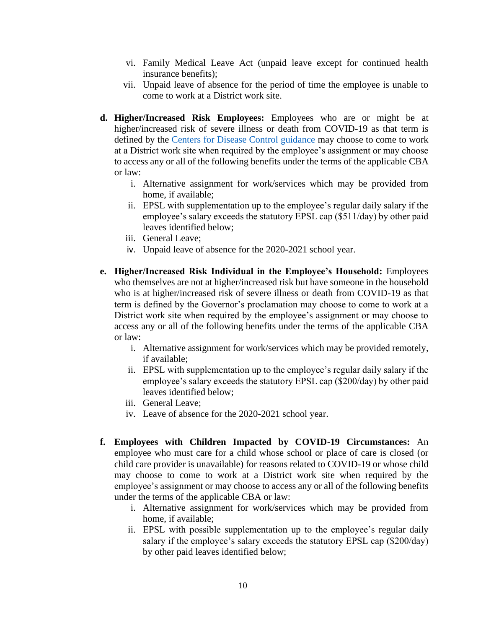- vi. Family Medical Leave Act (unpaid leave except for continued health insurance benefits);
- vii. Unpaid leave of absence for the period of time the employee is unable to come to work at a District work site.
- **d. Higher/Increased Risk Employees:** Employees who are or might be at higher/increased risk of severe illness or death from COVID-19 as that term is defined by the [Centers for Disease Control guidance](https://www.cdc.gov/coronavirus/2019-ncov/need-extra-precautions/index.html) may choose to come to work at a District work site when required by the employee's assignment or may choose to access any or all of the following benefits under the terms of the applicable CBA or law:
	- i. Alternative assignment for work/services which may be provided from home, if available;
	- ii. EPSL with supplementation up to the employee's regular daily salary if the employee's salary exceeds the statutory EPSL cap (\$511/day) by other paid leaves identified below;
	- iii. General Leave;
	- iv. Unpaid leave of absence for the 2020-2021 school year.
- **e. Higher/Increased Risk Individual in the Employee's Household:** Employees who themselves are not at higher/increased risk but have someone in the household who is at higher/increased risk of severe illness or death from COVID-19 as that term is defined by the Governor's proclamation may choose to come to work at a District work site when required by the employee's assignment or may choose to access any or all of the following benefits under the terms of the applicable CBA or law:
	- i. Alternative assignment for work/services which may be provided remotely, if available;
	- ii. EPSL with supplementation up to the employee's regular daily salary if the employee's salary exceeds the statutory EPSL cap (\$200/day) by other paid leaves identified below;
	- iii. General Leave;
	- iv. Leave of absence for the 2020-2021 school year.
- **f. Employees with Children Impacted by COVID-19 Circumstances:** An employee who must care for a child whose school or place of care is closed (or child care provider is unavailable) for reasons related to COVID-19 or whose child may choose to come to work at a District work site when required by the employee's assignment or may choose to access any or all of the following benefits under the terms of the applicable CBA or law:
	- i. Alternative assignment for work/services which may be provided from home, if available;
	- ii. EPSL with possible supplementation up to the employee's regular daily salary if the employee's salary exceeds the statutory EPSL cap (\$200/day) by other paid leaves identified below;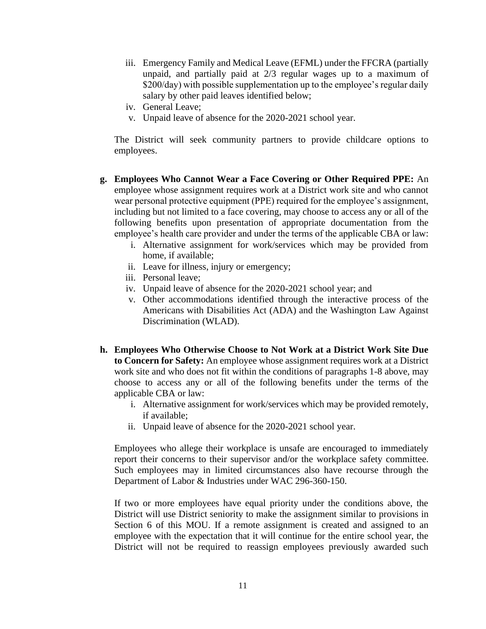- iii. Emergency Family and Medical Leave (EFML) under the FFCRA (partially unpaid, and partially paid at 2/3 regular wages up to a maximum of \$200/day) with possible supplementation up to the employee's regular daily salary by other paid leaves identified below;
- iv. General Leave;
- v. Unpaid leave of absence for the 2020-2021 school year.

The District will seek community partners to provide childcare options to employees.

- **g. Employees Who Cannot Wear a Face Covering or Other Required PPE:** An employee whose assignment requires work at a District work site and who cannot wear personal protective equipment (PPE) required for the employee's assignment, including but not limited to a face covering, may choose to access any or all of the following benefits upon presentation of appropriate documentation from the employee's health care provider and under the terms of the applicable CBA or law:
	- i. Alternative assignment for work/services which may be provided from home, if available;
	- ii. Leave for illness, injury or emergency;
	- iii. Personal leave;
	- iv. Unpaid leave of absence for the 2020-2021 school year; and
	- v. Other accommodations identified through the interactive process of the Americans with Disabilities Act (ADA) and the Washington Law Against Discrimination (WLAD).
- **h. Employees Who Otherwise Choose to Not Work at a District Work Site Due to Concern for Safety:** An employee whose assignment requires work at a District work site and who does not fit within the conditions of paragraphs 1-8 above, may choose to access any or all of the following benefits under the terms of the applicable CBA or law:
	- i. Alternative assignment for work/services which may be provided remotely, if available;
	- ii. Unpaid leave of absence for the 2020-2021 school year.

Employees who allege their workplace is unsafe are encouraged to immediately report their concerns to their supervisor and/or the workplace safety committee. Such employees may in limited circumstances also have recourse through the Department of Labor & Industries under WAC 296-360-150.

If two or more employees have equal priority under the conditions above, the District will use District seniority to make the assignment similar to provisions in Section 6 of this MOU. If a remote assignment is created and assigned to an employee with the expectation that it will continue for the entire school year, the District will not be required to reassign employees previously awarded such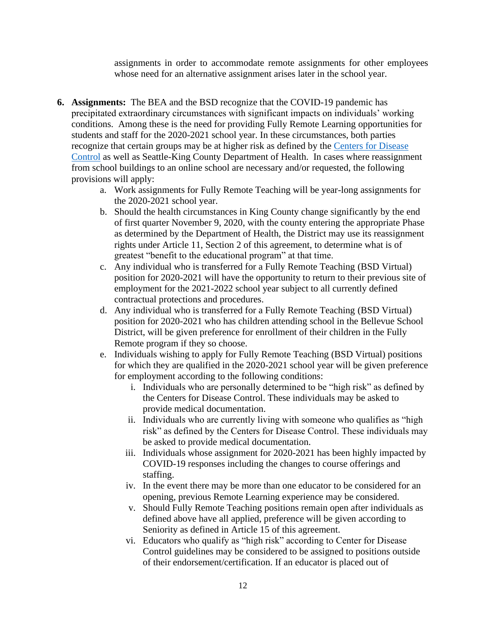assignments in order to accommodate remote assignments for other employees whose need for an alternative assignment arises later in the school year.

- **6. Assignments:** The BEA and the BSD recognize that the COVID-19 pandemic has precipitated extraordinary circumstances with significant impacts on individuals' working conditions. Among these is the need for providing Fully Remote Learning opportunities for students and staff for the 2020-2021 school year. In these circumstances, both parties recognize that certain groups may be at higher risk as defined by the [Centers for Disease](https://www.cdc.gov/coronavirus/2019-ncov/need-extra-precautions/index.html)  [Control](https://www.cdc.gov/coronavirus/2019-ncov/need-extra-precautions/index.html) as well as Seattle-King County Department of Health. In cases where reassignment from school buildings to an online school are necessary and/or requested, the following provisions will apply:
	- a. Work assignments for Fully Remote Teaching will be year-long assignments for the 2020-2021 school year.
	- b. Should the health circumstances in King County change significantly by the end of first quarter November 9, 2020, with the county entering the appropriate Phase as determined by the Department of Health, the District may use its reassignment rights under Article 11, Section 2 of this agreement, to determine what is of greatest "benefit to the educational program" at that time.
	- c. Any individual who is transferred for a Fully Remote Teaching (BSD Virtual) position for 2020-2021 will have the opportunity to return to their previous site of employment for the 2021-2022 school year subject to all currently defined contractual protections and procedures.
	- d. Any individual who is transferred for a Fully Remote Teaching (BSD Virtual) position for 2020-2021 who has children attending school in the Bellevue School District, will be given preference for enrollment of their children in the Fully Remote program if they so choose.
	- e. Individuals wishing to apply for Fully Remote Teaching (BSD Virtual) positions for which they are qualified in the 2020-2021 school year will be given preference for employment according to the following conditions:
		- i. Individuals who are personally determined to be "high risk" as defined by the Centers for Disease Control. These individuals may be asked to provide medical documentation.
		- ii. Individuals who are currently living with someone who qualifies as "high risk" as defined by the Centers for Disease Control. These individuals may be asked to provide medical documentation.
		- iii. Individuals whose assignment for 2020-2021 has been highly impacted by COVID-19 responses including the changes to course offerings and staffing.
		- iv. In the event there may be more than one educator to be considered for an opening, previous Remote Learning experience may be considered.
		- v. Should Fully Remote Teaching positions remain open after individuals as defined above have all applied, preference will be given according to Seniority as defined in Article 15 of this agreement.
		- vi. Educators who qualify as "high risk" according to Center for Disease Control guidelines may be considered to be assigned to positions outside of their endorsement/certification. If an educator is placed out of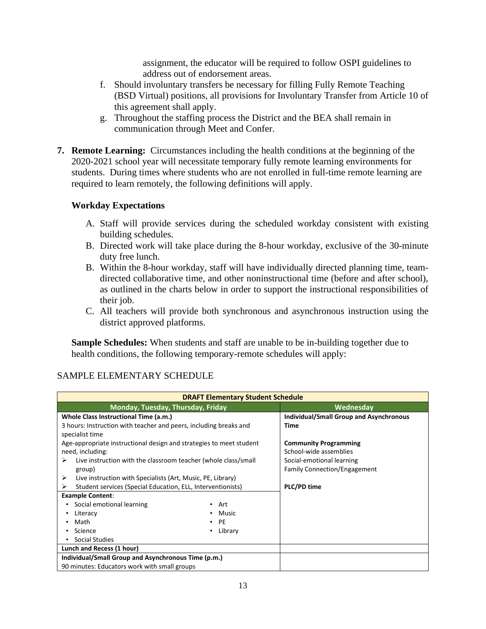assignment, the educator will be required to follow OSPI guidelines to address out of endorsement areas.

- f. Should involuntary transfers be necessary for filling Fully Remote Teaching (BSD Virtual) positions, all provisions for Involuntary Transfer from Article 10 of this agreement shall apply.
- g. Throughout the staffing process the District and the BEA shall remain in communication through Meet and Confer.
- **7. Remote Learning:** Circumstances including the health conditions at the beginning of the 2020-2021 school year will necessitate temporary fully remote learning environments for students. During times where students who are not enrolled in full-time remote learning are required to learn remotely, the following definitions will apply.

## **Workday Expectations**

- A. Staff will provide services during the scheduled workday consistent with existing building schedules.
- B. Directed work will take place during the 8-hour workday, exclusive of the 30-minute duty free lunch.
- B. Within the 8-hour workday, staff will have individually directed planning time, teamdirected collaborative time, and other noninstructional time (before and after school), as outlined in the charts below in order to support the instructional responsibilities of their job.
- C. All teachers will provide both synchronous and asynchronous instruction using the district approved platforms.

**Sample Schedules:** When students and staff are unable to be in-building together due to health conditions, the following temporary-remote schedules will apply:

| <b>DRAFT Elementary Student Schedule</b>                                             |            |                                                |  |  |
|--------------------------------------------------------------------------------------|------------|------------------------------------------------|--|--|
| Monday, Tuesday, Thursday, Friday                                                    |            | Wednesday                                      |  |  |
| Whole Class Instructional Time (a.m.)                                                |            | <b>Individual/Small Group and Asynchronous</b> |  |  |
| 3 hours: Instruction with teacher and peers, including breaks and<br>specialist time |            | <b>Time</b>                                    |  |  |
| Age-appropriate instructional design and strategies to meet student                  |            | <b>Community Programming</b>                   |  |  |
| need, including:                                                                     |            | School-wide assemblies                         |  |  |
| Live instruction with the classroom teacher (whole class/small<br>➤                  |            | Social-emotional learning                      |  |  |
| group)                                                                               |            | <b>Family Connection/Engagement</b>            |  |  |
| Live instruction with Specialists (Art, Music, PE, Library)<br>⋗                     |            |                                                |  |  |
| Student services (Special Education, ELL, Interventionists)<br>⋗                     |            | PLC/PD time                                    |  |  |
| <b>Example Content:</b>                                                              |            |                                                |  |  |
| Social emotional learning                                                            | • Art      |                                                |  |  |
| Literacy                                                                             | • Music    |                                                |  |  |
| Math                                                                                 | $\cdot$ PE |                                                |  |  |
| Library<br>Science<br>$\bullet$                                                      |            |                                                |  |  |
| <b>Social Studies</b>                                                                |            |                                                |  |  |
| Lunch and Recess (1 hour)                                                            |            |                                                |  |  |
| Individual/Small Group and Asynchronous Time (p.m.)                                  |            |                                                |  |  |
| 90 minutes: Educators work with small groups                                         |            |                                                |  |  |

# SAMPLE ELEMENTARY SCHEDULE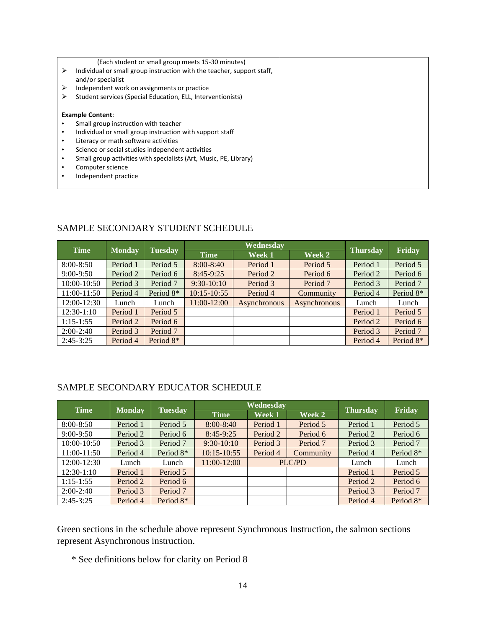|   | (Each student or small group meets 15-30 minutes)                      |  |
|---|------------------------------------------------------------------------|--|
| ⋗ | Individual or small group instruction with the teacher, support staff, |  |
|   | and/or specialist                                                      |  |
| ⋗ | Independent work on assignments or practice                            |  |
|   | Student services (Special Education, ELL, Interventionists)            |  |
|   |                                                                        |  |
|   | <b>Example Content:</b>                                                |  |
|   | Small group instruction with teacher                                   |  |
|   | Individual or small group instruction with support staff               |  |
|   | Literacy or math software activities                                   |  |
|   | Science or social studies independent activities                       |  |
|   | Small group activities with specialists (Art, Music, PE, Library)      |  |
|   | Computer science                                                       |  |
|   | Independent practice                                                   |  |
|   |                                                                        |  |

### SAMPLE SECONDARY STUDENT SCHEDULE

| <b>Time</b>   |               | Wednesday      |                 |              |              |                 |                       |
|---------------|---------------|----------------|-----------------|--------------|--------------|-----------------|-----------------------|
|               | <b>Monday</b> | <b>Tuesday</b> | <b>Time</b>     | Week 1       | Week 2       | <b>Thursday</b> | Friday                |
| $8:00 - 8:50$ | Period 1      | Period 5       | $8:00 - 8:40$   | Period 1     | Period 5     | Period 1        | Period 5              |
| $9:00-9:50$   | Period 2      | Period 6       | $8:45-9:25$     | Period 2     | Period 6     | Period 2        | Period 6              |
| 10:00-10:50   | Period 3      | Period 7       | $9:30-10:10$    | Period 3     | Period 7     | Period 3        | Period 7              |
| 11:00-11:50   | Period 4      | Period 8*      | $10:15 - 10:55$ | Period 4     | Community    | Period 4        | Period 8*             |
| 12:00-12:30   | Lunch         | Lunch          | 11:00-12:00     | Asynchronous | Asynchronous | Lunch           | Lunch                 |
| $12:30-1:10$  | Period 1      | Period 5       |                 |              |              | Period 1        | Period 5              |
| $1:15-1:55$   | Period 2      | Period 6       |                 |              |              | Period 2        | Period 6              |
| $2:00-2:40$   | Period 3      | Period 7       |                 |              |              | Period 3        | Period 7              |
| $2:45-3:25$   | Period 4      | Period 8*      |                 |              |              | Period 4        | Period 8 <sup>*</sup> |

### SAMPLE SECONDARY EDUCATOR SCHEDULE

| <b>Time</b>     |               |           | Wednesday       |          |           |                 |           |
|-----------------|---------------|-----------|-----------------|----------|-----------|-----------------|-----------|
|                 | <b>Monday</b> | Tuesday   | <b>Time</b>     | Week 1   | Week 2    | <b>Thursday</b> | Friday    |
| $8:00 - 8:50$   | Period 1      | Period 5  | $8:00 - 8:40$   | Period 1 | Period 5  | Period 1        | Period 5  |
| $9:00-9:50$     | Period 2      | Period 6  | $8:45-9:25$     | Period 2 | Period 6  | Period 2        | Period 6  |
| $10:00 - 10:50$ | Period 3      | Period 7  | $9:30-10:10$    | Period 3 | Period 7  | Period 3        | Period 7  |
| 11:00-11:50     | Period 4      | Period 8* | $10:15 - 10:55$ | Period 4 | Community | Period 4        | Period 8* |
| $12:00-12:30$   | Lunch         | Lunch     | 11:00-12:00     |          | PLC/PD    | Lunch           | Lunch     |
| $12:30-1:10$    | Period 1      | Period 5  |                 |          |           | Period 1        | Period 5  |
| $1:15-1:55$     | Period 2      | Period 6  |                 |          |           | Period 2        | Period 6  |
| $2:00-2:40$     | Period 3      | Period 7  |                 |          |           | Period 3        | Period 7  |
| $2:45-3:25$     | Period 4      | Period 8* |                 |          |           | Period 4        | Period 8* |

Green sections in the schedule above represent Synchronous Instruction, the salmon sections represent Asynchronous instruction.

\* See definitions below for clarity on Period 8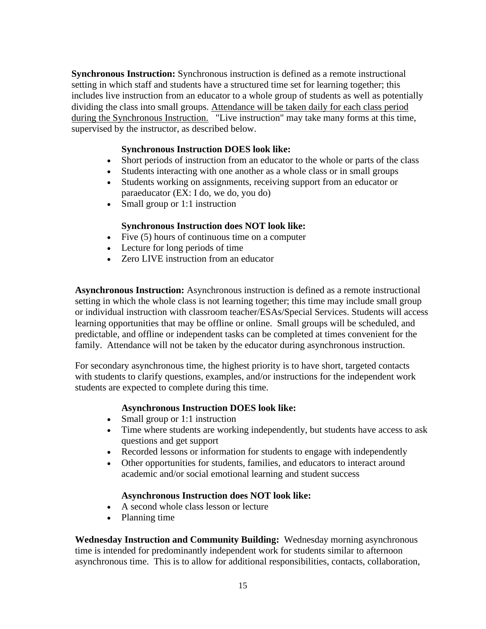**Synchronous Instruction:** Synchronous instruction is defined as a remote instructional setting in which staff and students have a structured time set for learning together; this includes live instruction from an educator to a whole group of students as well as potentially dividing the class into small groups. Attendance will be taken daily for each class period during the Synchronous Instruction. "Live instruction" may take many forms at this time, supervised by the instructor, as described below.

### **Synchronous Instruction DOES look like:**

- Short periods of instruction from an educator to the whole or parts of the class
- Students interacting with one another as a whole class or in small groups
- Students working on assignments, receiving support from an educator or paraeducator (EX: I do, we do, you do)
- Small group or 1:1 instruction

#### **Synchronous Instruction does NOT look like:**

- Five (5) hours of continuous time on a computer
- Lecture for long periods of time
- Zero LIVE instruction from an educator

**Asynchronous Instruction:** Asynchronous instruction is defined as a remote instructional setting in which the whole class is not learning together; this time may include small group or individual instruction with classroom teacher/ESAs/Special Services. Students will access learning opportunities that may be offline or online. Small groups will be scheduled, and predictable, and offline or independent tasks can be completed at times convenient for the family. Attendance will not be taken by the educator during asynchronous instruction.

For secondary asynchronous time, the highest priority is to have short, targeted contacts with students to clarify questions, examples, and/or instructions for the independent work students are expected to complete during this time.

#### **Asynchronous Instruction DOES look like:**

- Small group or 1:1 instruction
- Time where students are working independently, but students have access to ask questions and get support
- Recorded lessons or information for students to engage with independently
- Other opportunities for students, families, and educators to interact around academic and/or social emotional learning and student success

#### **Asynchronous Instruction does NOT look like:**

- A second whole class lesson or lecture
- Planning time

**Wednesday Instruction and Community Building:** Wednesday morning asynchronous time is intended for predominantly independent work for students similar to afternoon asynchronous time. This is to allow for additional responsibilities, contacts, collaboration,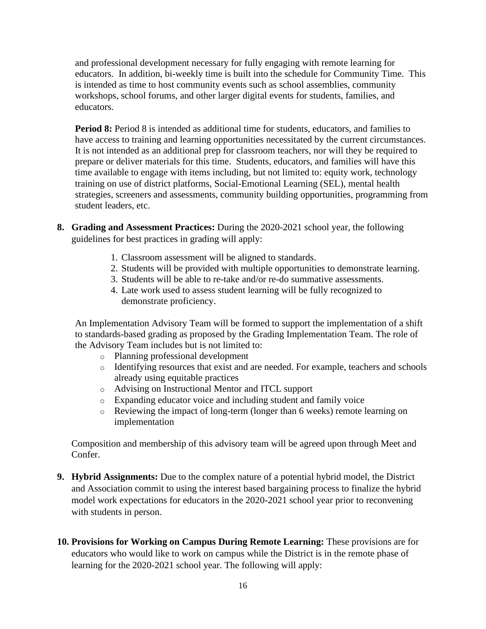and professional development necessary for fully engaging with remote learning for educators. In addition, bi-weekly time is built into the schedule for Community Time. This is intended as time to host community events such as school assemblies, community workshops, school forums, and other larger digital events for students, families, and educators.

**Period 8:** Period 8 is intended as additional time for students, educators, and families to have access to training and learning opportunities necessitated by the current circumstances. It is not intended as an additional prep for classroom teachers, nor will they be required to prepare or deliver materials for this time. Students, educators, and families will have this time available to engage with items including, but not limited to: equity work, technology training on use of district platforms, Social-Emotional Learning (SEL), mental health strategies, screeners and assessments, community building opportunities, programming from student leaders, etc.

- **8. Grading and Assessment Practices:** During the 2020-2021 school year, the following guidelines for best practices in grading will apply:
	- 1. Classroom assessment will be aligned to standards.
	- 2. Students will be provided with multiple opportunities to demonstrate learning.
	- 3. Students will be able to re-take and/or re-do summative assessments.
	- 4. Late work used to assess student learning will be fully recognized to demonstrate proficiency.

An Implementation Advisory Team will be formed to support the implementation of a shift to standards-based grading as proposed by the Grading Implementation Team. The role of the Advisory Team includes but is not limited to:

- o Planning professional development
- o Identifying resources that exist and are needed. For example, teachers and schools already using equitable practices
- o Advising on Instructional Mentor and ITCL support
- o Expanding educator voice and including student and family voice
- o Reviewing the impact of long-term (longer than 6 weeks) remote learning on implementation

Composition and membership of this advisory team will be agreed upon through Meet and Confer.

- **9. Hybrid Assignments:** Due to the complex nature of a potential hybrid model, the District and Association commit to using the interest based bargaining process to finalize the hybrid model work expectations for educators in the 2020-2021 school year prior to reconvening with students in person.
- **10. Provisions for Working on Campus During Remote Learning:** These provisions are for educators who would like to work on campus while the District is in the remote phase of learning for the 2020-2021 school year. The following will apply: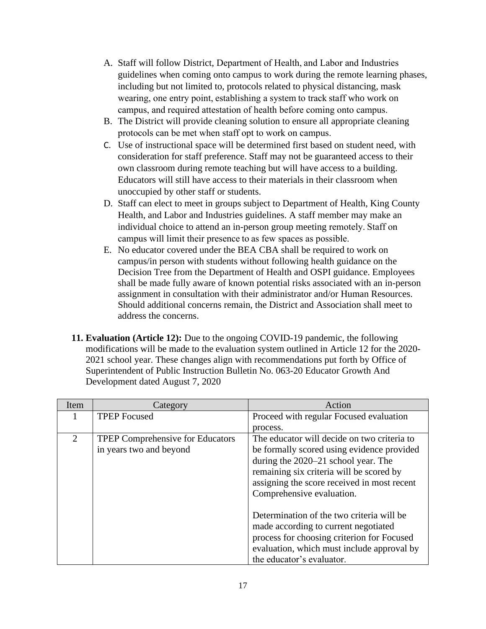- A. Staff will follow District, Department of Health, and Labor and Industries guidelines when coming onto campus to work during the remote learning phases, including but not limited to, protocols related to physical distancing, mask wearing, one entry point, establishing a system to track staff who work on campus, and required attestation of health before coming onto campus.
- B. The District will provide cleaning solution to ensure all appropriate cleaning protocols can be met when staff opt to work on campus.
- C. Use of instructional space will be determined first based on student need, with consideration for staff preference. Staff may not be guaranteed access to their own classroom during remote teaching but will have access to a building. Educators will still have access to their materials in their classroom when unoccupied by other staff or students.
- D. Staff can elect to meet in groups subject to Department of Health, King County Health, and Labor and Industries guidelines. A staff member may make an individual choice to attend an in-person group meeting remotely. Staff on campus will limit their presence to as few spaces as possible.
- E. No educator covered under the BEA CBA shall be required to work on campus/in person with students without following health guidance on the Decision Tree from the Department of Health and OSPI guidance. Employees shall be made fully aware of known potential risks associated with an in-person assignment in consultation with their administrator and/or Human Resources. Should additional concerns remain, the District and Association shall meet to address the concerns.
- **11. Evaluation (Article 12):** Due to the ongoing COVID-19 pandemic, the following modifications will be made to the evaluation system outlined in Article 12 for the 2020- 2021 school year. These changes align with recommendations put forth by Office of Superintendent of Public Instruction Bulletin No. 063-20 Educator Growth And Development dated August 7, 2020

| Item | Category                                                           | Action                                                                                                                                                                                                                                  |
|------|--------------------------------------------------------------------|-----------------------------------------------------------------------------------------------------------------------------------------------------------------------------------------------------------------------------------------|
|      | <b>TPEP</b> Focused                                                | Proceed with regular Focused evaluation                                                                                                                                                                                                 |
|      |                                                                    | process.                                                                                                                                                                                                                                |
| 2    | <b>TPEP Comprehensive for Educators</b><br>in years two and beyond | The educator will decide on two criteria to<br>be formally scored using evidence provided<br>during the 2020–21 school year. The<br>remaining six criteria will be scored by<br>assigning the score received in most recent             |
|      |                                                                    | Comprehensive evaluation.<br>Determination of the two criteria will be<br>made according to current negotiated<br>process for choosing criterion for Focused<br>evaluation, which must include approval by<br>the educator's evaluator. |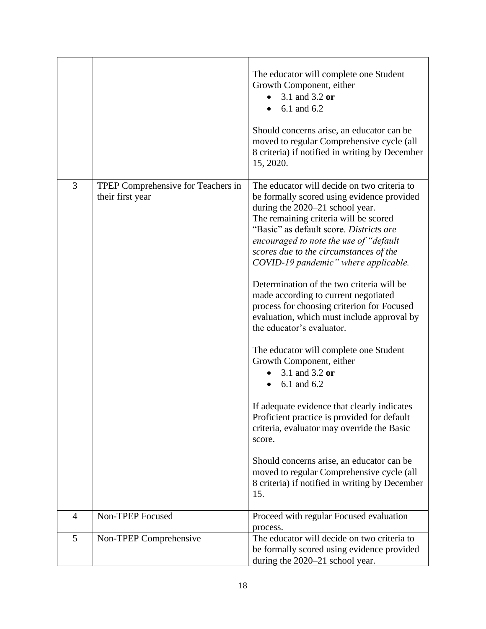|   |                                                        | The educator will complete one Student<br>Growth Component, either<br>3.1 and 3.2 or<br>6.1 and 6.2<br>Should concerns arise, an educator can be<br>moved to regular Comprehensive cycle (all<br>8 criteria) if notified in writing by December<br>15, 2020.                                                                                                                                                                                                                                                                                                                                                                                                                                                                                                                                                                                                                                                                                                                |
|---|--------------------------------------------------------|-----------------------------------------------------------------------------------------------------------------------------------------------------------------------------------------------------------------------------------------------------------------------------------------------------------------------------------------------------------------------------------------------------------------------------------------------------------------------------------------------------------------------------------------------------------------------------------------------------------------------------------------------------------------------------------------------------------------------------------------------------------------------------------------------------------------------------------------------------------------------------------------------------------------------------------------------------------------------------|
| 3 | TPEP Comprehensive for Teachers in<br>their first year | The educator will decide on two criteria to<br>be formally scored using evidence provided<br>during the 2020–21 school year.<br>The remaining criteria will be scored<br>"Basic" as default score. Districts are<br>encouraged to note the use of "default"<br>scores due to the circumstances of the<br>COVID-19 pandemic" where applicable.<br>Determination of the two criteria will be<br>made according to current negotiated<br>process for choosing criterion for Focused<br>evaluation, which must include approval by<br>the educator's evaluator.<br>The educator will complete one Student<br>Growth Component, either<br>3.1 and 3.2 or<br>6.1 and 6.2<br>If adequate evidence that clearly indicates<br>Proficient practice is provided for default<br>criteria, evaluator may override the Basic<br>score.<br>Should concerns arise, an educator can be<br>moved to regular Comprehensive cycle (all<br>8 criteria) if notified in writing by December<br>15. |
| 4 | Non-TPEP Focused                                       | Proceed with regular Focused evaluation<br>process.                                                                                                                                                                                                                                                                                                                                                                                                                                                                                                                                                                                                                                                                                                                                                                                                                                                                                                                         |
| 5 | Non-TPEP Comprehensive                                 | The educator will decide on two criteria to<br>be formally scored using evidence provided<br>during the 2020-21 school year.                                                                                                                                                                                                                                                                                                                                                                                                                                                                                                                                                                                                                                                                                                                                                                                                                                                |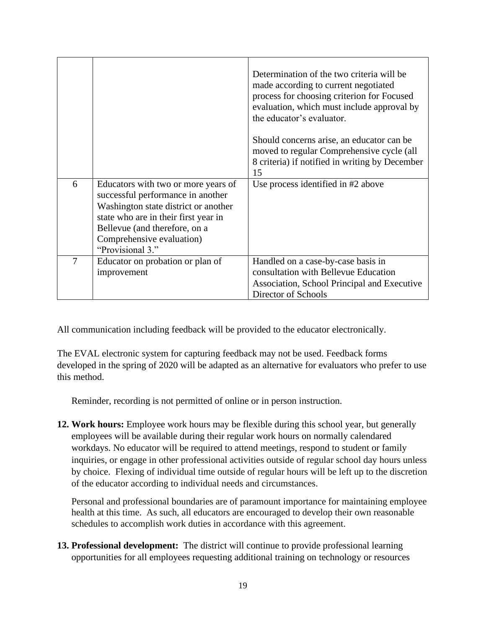|   |                                                                                                                                                                                                                                            | Determination of the two criteria will be<br>made according to current negotiated<br>process for choosing criterion for Focused<br>evaluation, which must include approval by<br>the educator's evaluator. |
|---|--------------------------------------------------------------------------------------------------------------------------------------------------------------------------------------------------------------------------------------------|------------------------------------------------------------------------------------------------------------------------------------------------------------------------------------------------------------|
|   |                                                                                                                                                                                                                                            | Should concerns arise, an educator can be<br>moved to regular Comprehensive cycle (all<br>8 criteria) if notified in writing by December<br>15                                                             |
| 6 | Educators with two or more years of<br>successful performance in another<br>Washington state district or another<br>state who are in their first year in<br>Bellevue (and therefore, on a<br>Comprehensive evaluation)<br>"Provisional 3." | Use process identified in #2 above                                                                                                                                                                         |
| 7 | Educator on probation or plan of<br>improvement                                                                                                                                                                                            | Handled on a case-by-case basis in<br>consultation with Bellevue Education<br>Association, School Principal and Executive<br>Director of Schools                                                           |

All communication including feedback will be provided to the educator electronically.

The EVAL electronic system for capturing feedback may not be used. Feedback forms developed in the spring of 2020 will be adapted as an alternative for evaluators who prefer to use this method.

Reminder, recording is not permitted of online or in person instruction.

**12. Work hours:** Employee work hours may be flexible during this school year, but generally employees will be available during their regular work hours on normally calendared workdays. No educator will be required to attend meetings, respond to student or family inquiries, or engage in other professional activities outside of regular school day hours unless by choice. Flexing of individual time outside of regular hours will be left up to the discretion of the educator according to individual needs and circumstances.

Personal and professional boundaries are of paramount importance for maintaining employee health at this time. As such, all educators are encouraged to develop their own reasonable schedules to accomplish work duties in accordance with this agreement.

**13. Professional development:** The district will continue to provide professional learning opportunities for all employees requesting additional training on technology or resources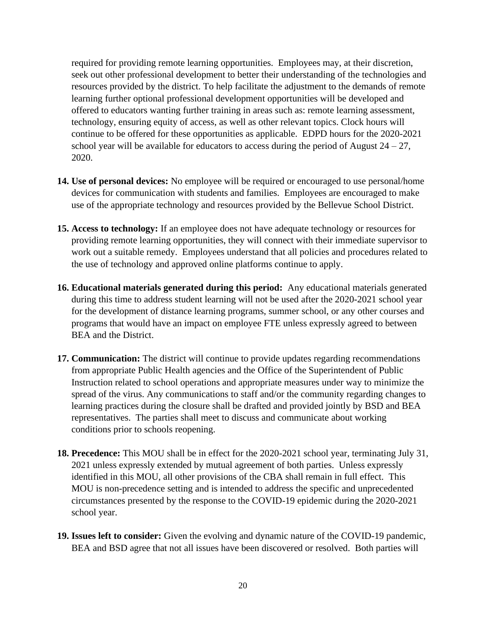required for providing remote learning opportunities. Employees may, at their discretion, seek out other professional development to better their understanding of the technologies and resources provided by the district. To help facilitate the adjustment to the demands of remote learning further optional professional development opportunities will be developed and offered to educators wanting further training in areas such as: remote learning assessment, technology, ensuring equity of access, as well as other relevant topics. Clock hours will continue to be offered for these opportunities as applicable. EDPD hours for the 2020-2021 school year will be available for educators to access during the period of August  $24 - 27$ , 2020.

- **14. Use of personal devices:** No employee will be required or encouraged to use personal/home devices for communication with students and families. Employees are encouraged to make use of the appropriate technology and resources provided by the Bellevue School District.
- **15. Access to technology:** If an employee does not have adequate technology or resources for providing remote learning opportunities, they will connect with their immediate supervisor to work out a suitable remedy. Employees understand that all policies and procedures related to the use of technology and approved online platforms continue to apply.
- **16. Educational materials generated during this period:** Any educational materials generated during this time to address student learning will not be used after the 2020-2021 school year for the development of distance learning programs, summer school, or any other courses and programs that would have an impact on employee FTE unless expressly agreed to between BEA and the District.
- **17. Communication:** The district will continue to provide updates regarding recommendations from appropriate Public Health agencies and the Office of the Superintendent of Public Instruction related to school operations and appropriate measures under way to minimize the spread of the virus. Any communications to staff and/or the community regarding changes to learning practices during the closure shall be drafted and provided jointly by BSD and BEA representatives. The parties shall meet to discuss and communicate about working conditions prior to schools reopening.
- **18. Precedence:** This MOU shall be in effect for the 2020-2021 school year, terminating July 31, 2021 unless expressly extended by mutual agreement of both parties. Unless expressly identified in this MOU, all other provisions of the CBA shall remain in full effect. This MOU is non-precedence setting and is intended to address the specific and unprecedented circumstances presented by the response to the COVID-19 epidemic during the 2020-2021 school year.
- **19. Issues left to consider:** Given the evolving and dynamic nature of the COVID-19 pandemic, BEA and BSD agree that not all issues have been discovered or resolved. Both parties will